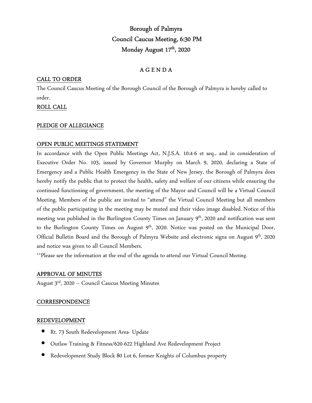# Borough of Palmyra Council Caucus Meeting, 6:30 PM Monday August 17<sup>th</sup>, 2020

# A G E N D A

# CALL TO ORDER

The Council Caucus Meeting of the Borough Council of the Borough of Palmyra is hereby called to order.

# ROLL CALL

## PLEDGE OF ALLEGIANCE

# OPEN PUBLIC MEETINGS STATEMENT

In accordance with the Open Public Meetings Act, N.J.S.A. 10:4-6 et seq., and in consideration of Executive Order No. 103, issued by Governor Murphy on March 9, 2020, declaring a State of Emergency and a Public Health Emergency in the State of New Jersey, the Borough of Palmyra does hereby notify the public that to protect the health, safety and welfare of our citizens while ensuring the continued functioning of government, the meeting of the Mayor and Council will be a Virtual Council Meeting. Members of the public are invited to "attend" the Virtual Council Meeting but all members of the public participating in the meeting may be muted and their video image disabled. Notice of this meeting was published in the Burlington County Times on January 9<sup>th</sup>, 2020 and notification was sent to the Burlington County Times on August 9<sup>th</sup>, 2020. Notice was posted on the Municipal Door, Official Bulletin Board and the Borough of Palmyra Website and electronic signs on August 9<sup>th</sup>, 2020 and notice was given to all Council Members.

\*\*Please see the information at the end of the agenda to attend our Virtual Council Meeting.

# APPROVAL OF MINUTES

August  $3<sup>rd</sup>$ , 2020 – Council Caucus Meeting Minutes

## **CORRESPONDENCE**

## REDEVELOPMENT

- Rt. 73 South Redevelopment Area- Update
- Outlaw Training & Fitness/620-622 Highland Ave Redevelopment Project
- Redevelopment Study Block 80 Lot 6, former Knights of Columbus property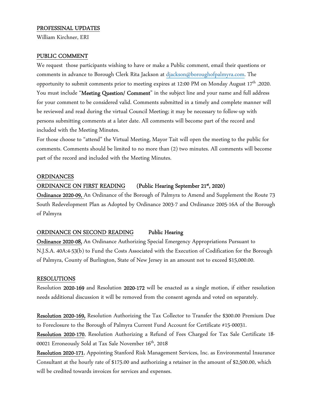### PROFESSINAL UPDATES

William Kirchner, ERI

#### PUBLIC COMMENT

We request those participants wishing to have or make a Public comment, email their questions or comments in advance to Borough Clerk Rita Jackson at djackson@boroughofpalmyra.com. The opportunity to submit comments prior to meeting expires at 12:00 PM on Monday August 17<sup>th</sup> ,2020. You must include "Meeting Question/ Comment" in the subject line and your name and full address for your comment to be considered valid. Comments submitted in a timely and complete manner will be reviewed and read during the virtual Council Meeting; it may be necessary to follow-up with persons submitting comments at a later date. All comments will become part of the record and included with the Meeting Minutes.

For those choose to "attend" the Virtual Meeting, Mayor Tait will open the meeting to the public for comments. Comments should be limited to no more than (2) two minutes. All comments will become part of the record and included with the Meeting Minutes.

#### ORDINANCES

## ORDINANCE ON FIRST READING (Public Hearing September 21st, 2020)

Ordinance 2020-09, An Ordinance of the Borough of Palmyra to Amend and Supplement the Route 73 South Redevelopment Plan as Adopted by Ordinance 2003-7 and Ordinance 2005-16A of the Borough of Palmyra

#### ORDINANCE ON SECOND READING Public Hearing

Ordinance 2020-08, An Ordinance Authorizing Special Emergency Appropriations Pursuant to N.J.S.A. 40A:4-53(b) to Fund the Costs Associated with the Execution of Codification for the Borough of Palmyra, County of Burlington, State of New Jersey in an amount not to exceed \$15,000.00.

#### RESOLUTIONS

Resolution 2020-169 and Resolution 2020-172 will be enacted as a single motion, if either resolution needs additional discussion it will be removed from the consent agenda and voted on separately.

Resolution 2020-169, Resolution Authorizing the Tax Collector to Transfer the \$300.00 Premium Due to Foreclosure to the Borough of Palmyra Current Fund Account for Certificate #15-00031.

Resolution 2020-170, Resolution Authorizing a Refund of Fees Charged for Tax Sale Certificate 18- 00021 Erroneously Sold at Tax Sale November 16<sup>th</sup>, 2018

Resolution 2020-171, Appointing Stanford Risk Management Services, Inc. as Environmental Insurance Consultant at the hourly rate of \$175.00 and authorizing a retainer in the amount of \$2,500.00, which will be credited towards invoices for services and expenses.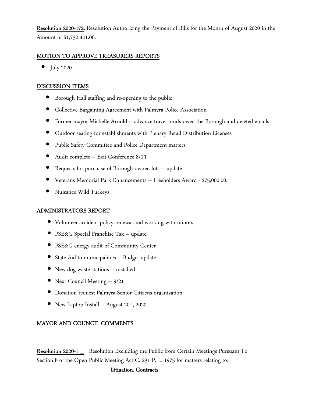Resolution 2020-172, Resolution Authorizing the Payment of Bills for the Month of August 2020 in the Amount of \$1,732,441.06.

## MOTION TO APPROVE TREASURERS REPORTS

• July 2020

## DISCUSSION ITEMS

- Borough Hall staffing and re-opening to the public
- Collective Bargaining Agreement with Palmyra Police Association
- Former mayor Michelle Arnold advance travel funds owed the Borough and deleted emails
- Outdoor seating for establishments with Plenary Retail Distribution Licenses
- Public Safety Committee and Police Department matters
- Audit complete Exit Conference 8/13
- Requests for purchase of Borough-owned lots update
- Veterans Memorial Park Enhancements Freeholders Award \$75,000.00.
- Nuisance Wild Turkeys

## ADMINISTRATORS REPORT

- Volunteer accident policy renewal and working with minors
- PSE&G Special Franchise Tax update
- PSE&G energy audit of Community Center
- State Aid to municipalities Budget update
- New dog waste stations installed
- Next Council Meeting 9/21
- Donation request Palmyra Senior Citizens organization
- New Laptop Install August  $20^{th}$ , 2020

# MAYOR AND COUNCIL COMMENTS

Resolution 2020-1 \_ Resolution Excluding the Public from Certain Meetings Pursuant To Section 8 of the Open Public Meeting Act C. 231 P. L. 1975 for matters relating to:

#### Litigation, Contracts